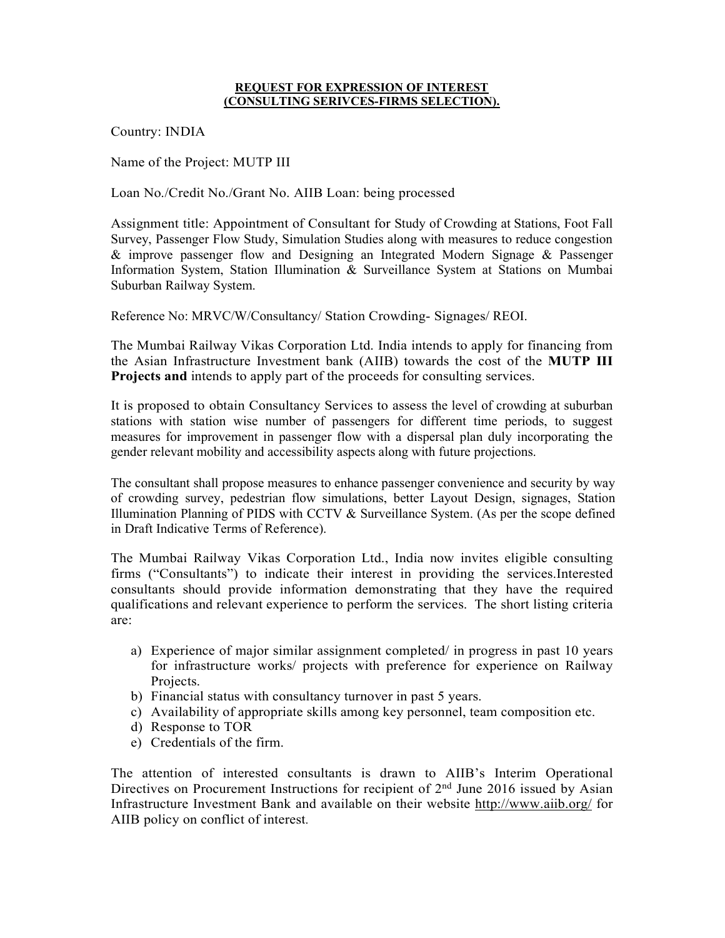## REQUEST FOR EXPRESSION OF INTEREST (CONSULTING SERIVCES-FIRMS SELECTION).

Country: INDIA

Name of the Project: MUTP III

Loan No./Credit No./Grant No. AIIB Loan: being processed

Assignment title: Appointment of Consultant for Study of Crowding at Stations, Foot Fall Survey, Passenger Flow Study, Simulation Studies along with measures to reduce congestion & improve passenger flow and Designing an Integrated Modern Signage & Passenger Information System, Station Illumination & Surveillance System at Stations on Mumbai Suburban Railway System.

Reference No: MRVC/W/Consultancy/ Station Crowding- Signages/ REOI.

The Mumbai Railway Vikas Corporation Ltd. India intends to apply for financing from the Asian Infrastructure Investment bank (AIIB) towards the cost of the MUTP III Projects and intends to apply part of the proceeds for consulting services.

It is proposed to obtain Consultancy Services to assess the level of crowding at suburban stations with station wise number of passengers for different time periods, to suggest measures for improvement in passenger flow with a dispersal plan duly incorporating the gender relevant mobility and accessibility aspects along with future projections.

The consultant shall propose measures to enhance passenger convenience and security by way of crowding survey, pedestrian flow simulations, better Layout Design, signages, Station Illumination Planning of PIDS with CCTV & Surveillance System. (As per the scope defined in Draft Indicative Terms of Reference).

The Mumbai Railway Vikas Corporation Ltd., India now invites eligible consulting firms ("Consultants") to indicate their interest in providing the services.Interested consultants should provide information demonstrating that they have the required qualifications and relevant experience to perform the services. The short listing criteria are:

- a) Experience of major similar assignment completed/ in progress in past 10 years for infrastructure works/ projects with preference for experience on Railway Projects.
- b) Financial status with consultancy turnover in past 5 years.
- c) Availability of appropriate skills among key personnel, team composition etc.
- d) Response to TOR
- e) Credentials of the firm.

The attention of interested consultants is drawn to AIIB's Interim Operational Directives on Procurement Instructions for recipient of 2<sup>nd</sup> June 2016 issued by Asian Infrastructure Investment Bank and available on their website http://www.aiib.org/ for AIIB policy on conflict of interest.